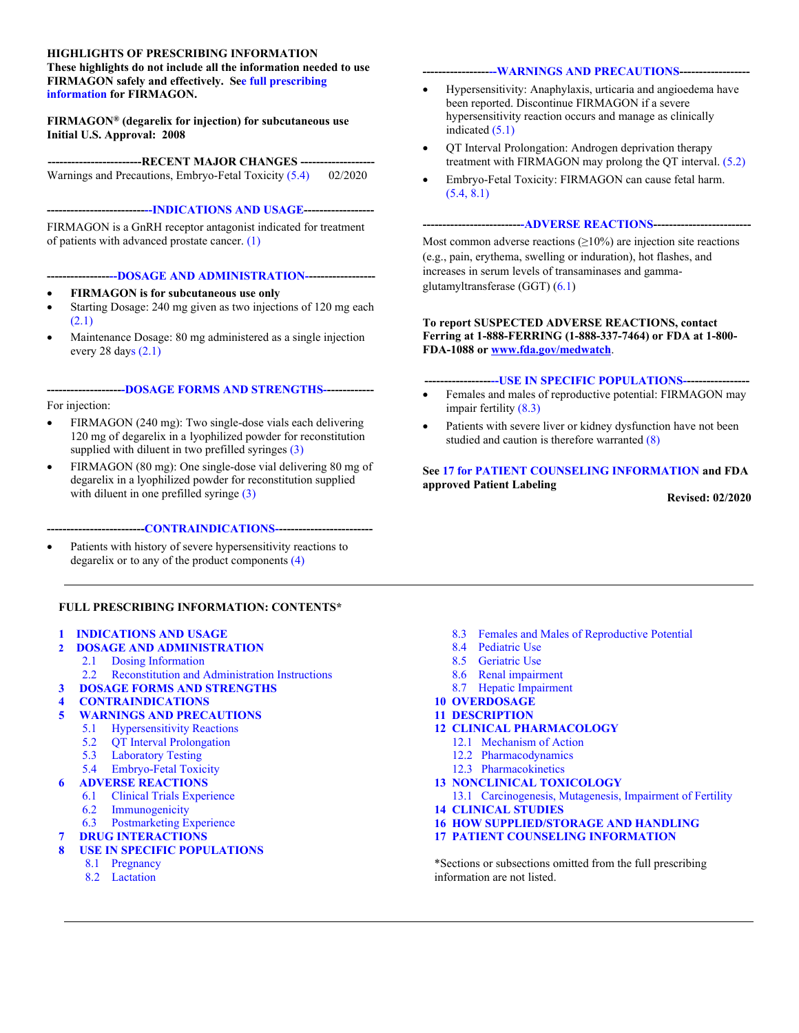#### **HIGHLIGHTS OF PRESCRIBING INFORMATION**

**These highlights do not include all the information needed to use FIRMAGON safely and effectively. Se[e full prescribing](#page-1-0)  [information](#page-1-0) for FIRMAGON.** 

#### **FIRMAGON® (degarelix for injection) for subcutaneous use Initial U.S. Approval: 2008**

---RECENT MAJOR CHANGES --Warnings and Precautions, Embryo-Fetal Toxicity [\(5.4\)](#page-8-0) 02/2020

**------------------------[---INDICATIONS AND USAGE-](#page-1-0)-----------------** 

FIRMAGON is a GnRH receptor antagonist indicated for treatment of patients with advanced prostate cancer[. \(1\)](#page-1-0) 

#### **----------------[--DOSAGE AND ADMINISTRATION--](#page-1-0)----------------**

- **FIRMAGON is for subcutaneous use only**
- Starting Dosage: 240 mg given as two injections of 120 mg each [\(2.1\)](#page-1-0)
- Maintenance Dosage: 80 mg administered as a single injection every 28 days  $(2.1)$

#### **-------------------[-DOSAGE FORMS AND STRENGTHS--](#page-7-0)-----------**  For injection:

- FIRMAGON (240 mg): Two single-dose vials each delivering 120 mg of degarelix in a lyophilized powder for reconstitution supplied with diluent in two prefilled syringe[s \(3\)](#page-7-0)
- FIRMAGON (80 mg): One single-dose vial delivering 80 mg of degarelix in a lyophilized powder for reconstitution supplied with diluent in one prefilled syringe (3)

#### **-------------------------[CONTRAINDICATIONS--](#page-7-0)-----------------------**

 Patients with history of severe hypersensitivity reactions to degarelix or to any of the product components [\(4\)](#page-7-0) 

#### **FULL PRESCRIBING INFORMATION: CONTENTS\***

#### **1 INDICATIONS AND USAGE**

- **2 DOSAGE AND ADMINISTRATION**
	- 2.1 Dosing Information<br>2.2 Reconstitution and A
	- Reconstitution and Administration Instructions
- **[3 DOSAGE FORMS AND STRENGTHS](#page-7-0)**
- **4 CONTRAINDICATIONS**
- **5 WARNINGS AND PRECAUTIONS** 
	- 5.1 Hypersensitivity Reactions
	- [5.2 QT Interval Prolongation](#page-8-0)
	- 5.3 Laboratory Testing
	- 5.4 Embryo-Fetal Toxicity

#### **6 ADVERSE REACTIONS**

- 6.1 Clinical Trials Experience
- 6.2 Immunogenicity
- 6.3 Postmarketing Experience
- **7 DRUG INTERACTIONS**

#### **[8 USE IN SPECIFIC POPULATIONS](#page-10-0)**

- 8.1 Pregnancy
- [8.2 Lactation](#page-11-0)

#### **-----------------[--WARNINGS AND PRECAUTIONS-](#page-7-0)-----------------**

- Hypersensitivity: Anaphylaxis, urticaria and angioedema have been reported. Discontinue FIRMAGON if a severe hypersensitivity reaction occurs and manage as clinically indicated [\(5.1\)](#page-7-0)
- QT Interval Prolongation: Androgen deprivation therapy treatment with FIRMAGON may prolong the QT interval. [\(5.2\)](#page-8-0)
- Embryo-Fetal Toxicity: FIRMAGON can cause fetal harm. [\(5.4,](#page-8-0) [8.1\)](#page-10-0)

#### **------------------------[--ADVERSE REACTIONS](#page-8-0)-------------------------**

Most common adverse reactions  $(\geq 10\%)$  are injection site reactions (e.g., pain, erythema, swelling or induration), hot flashes, and increases in serum levels of transaminases and gammaglutamyltransferase (GGT) ([6.1\)](#page-8-0)

#### **To report SUSPECTED ADVERSE REACTIONS, contact Ferring at 1-888-FERRING (1-888-337-7464) or FDA at 1-800- FDA-1088 or www.fda.gov/medwatch**.

**----------------[---USE IN SPECIFIC POPULATIONS-](#page-10-0)----------------** 

- Females and males of reproductive potential: FIRMAGON may impair fertility [\(8.3\)](#page-11-0)
- Patients with severe liver or kidney dysfunction have not been studied and caution is therefore warrante[d \(8\)](#page-10-0)

#### **See [17 for PATIENT COUNSELING INFORMATION](#page-16-0) and FDA approved Patient Labeling**

**Revised: 02/2020** 

- [8.3 Females and Males of Reproductive Potential](#page-11-0)
- 8.4 Pediatric Use
- 8.5 Geriatric Use
- 8.6 Renal impairment
- 8.7 Hepatic Impairment
- **10 OVERDOSAGE**
- **11 DESCRIPTION**
- **[12 CLINICAL PHARMACOLOGY](#page-12-0)** 
	- 12.1 Mechanism of Action
	- 12.2 Pharmacodynamics
	- [12.3 Pharmacokinetics](#page-13-0)
- **13 NONCLINICAL TOXICOLOGY**
- [13.1 Carcinogenesis, Mutagenesis, Impairment of Fertility](#page-14-0)
- **14 CLINICAL STUDIES**
- **[16 HOW SUPPLIED/STORAGE AND HANDLING](#page-16-0)**
- **17 PATIENT COUNSELING INFORMATION**

\*Sections or subsections omitted from the full prescribing information are not listed.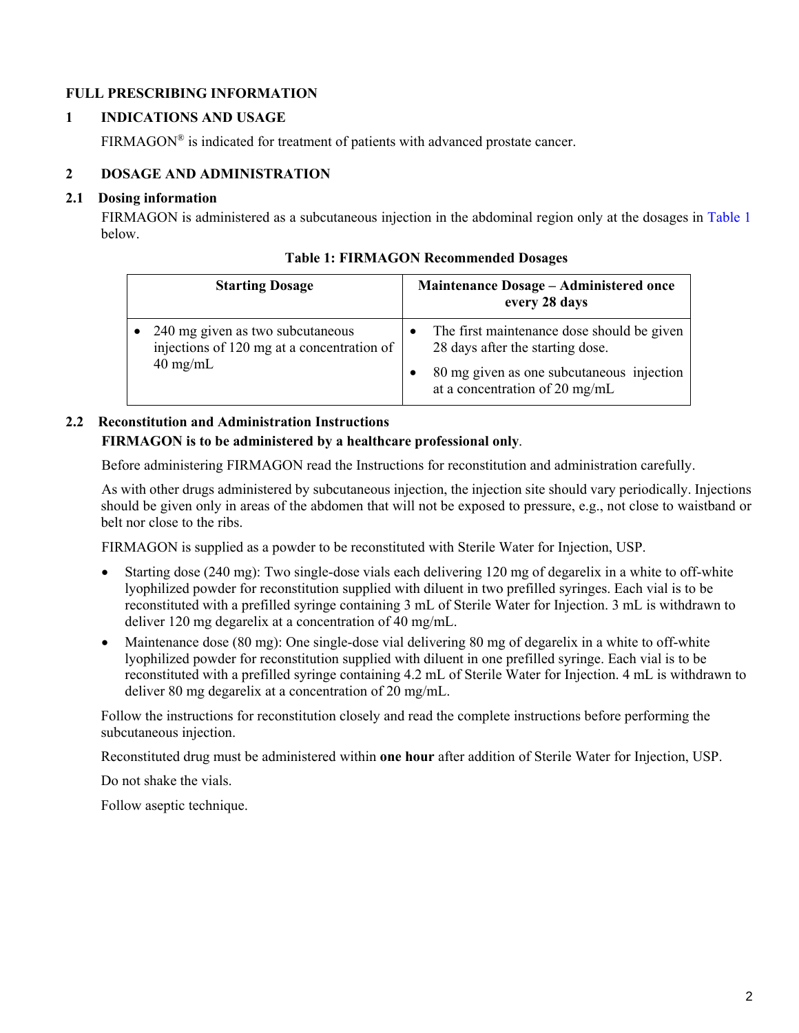# **FULL PRESCRIBING INFORMATION**

## **1 INDICATIONS AND USAGE**

FIRMAGON<sup>®</sup> is indicated for treatment of patients with advanced prostate cancer.

## **2 DOSAGE AND ADMINISTRATION**

### **2.1 Dosing information**

FIRMAGON is administered as a subcutaneous injection in the abdominal region only at the dosages in [Table 1](#page-1-1)  below.

| <b>Starting Dosage</b>                                                                               | <b>Maintenance Dosage – Administered once</b><br>every 28 days                                                                                                |
|------------------------------------------------------------------------------------------------------|---------------------------------------------------------------------------------------------------------------------------------------------------------------|
| 240 mg given as two subcutaneous<br>injections of 120 mg at a concentration of<br>$40 \text{ mg/mL}$ | The first maintenance dose should be given<br>28 days after the starting dose.<br>80 mg given as one subcutaneous injection<br>at a concentration of 20 mg/mL |

**Table 1: FIRMAGON Recommended Dosages** 

# **2.2 Reconstitution and Administration Instructions FIRMAGON is to be administered by a healthcare professional only**.

Before administering FIRMAGON read the Instructions for reconstitution and administration carefully.

As with other drugs administered by subcutaneous injection, the injection site should vary periodically. Injections should be given only in areas of the abdomen that will not be exposed to pressure, e.g., not close to waistband or belt nor close to the ribs.

FIRMAGON is supplied as a powder to be reconstituted with Sterile Water for Injection, USP.

- Starting dose (240 mg): Two single-dose vials each delivering 120 mg of degarelix in a white to off-white lyophilized powder for reconstitution supplied with diluent in two prefilled syringes. Each vial is to be reconstituted with a prefilled syringe containing 3 mL of Sterile Water for Injection. 3 mL is withdrawn to deliver 120 mg degarelix at a concentration of 40 mg/mL.
- Maintenance dose (80 mg): One single-dose vial delivering 80 mg of degarelix in a white to off-white lyophilized powder for reconstitution supplied with diluent in one prefilled syringe. Each vial is to be reconstituted with a prefilled syringe containing 4.2 mL of Sterile Water for Injection. 4 mL is withdrawn to deliver 80 mg degarelix at a concentration of 20 mg/mL.

Follow the instructions for reconstitution closely and read the complete instructions before performing the subcutaneous injection.

Reconstituted drug must be administered within **one hour** after addition of Sterile Water for Injection, USP.

Do not shake the vials.

<span id="page-1-1"></span><span id="page-1-0"></span>Follow aseptic technique.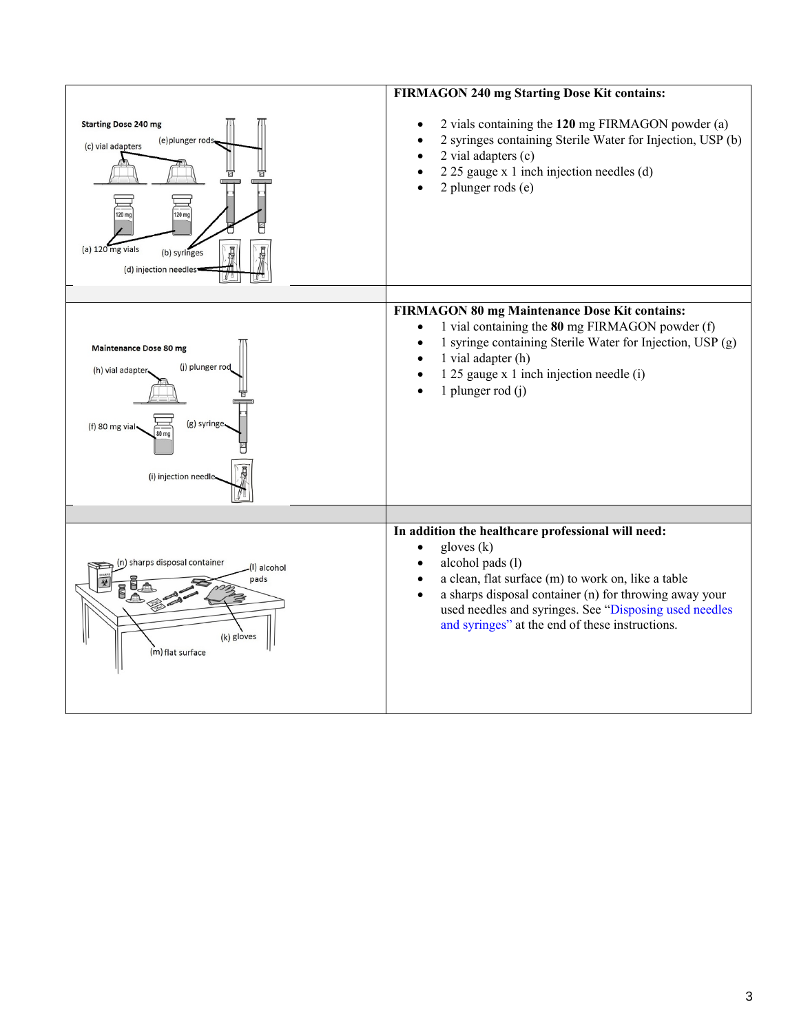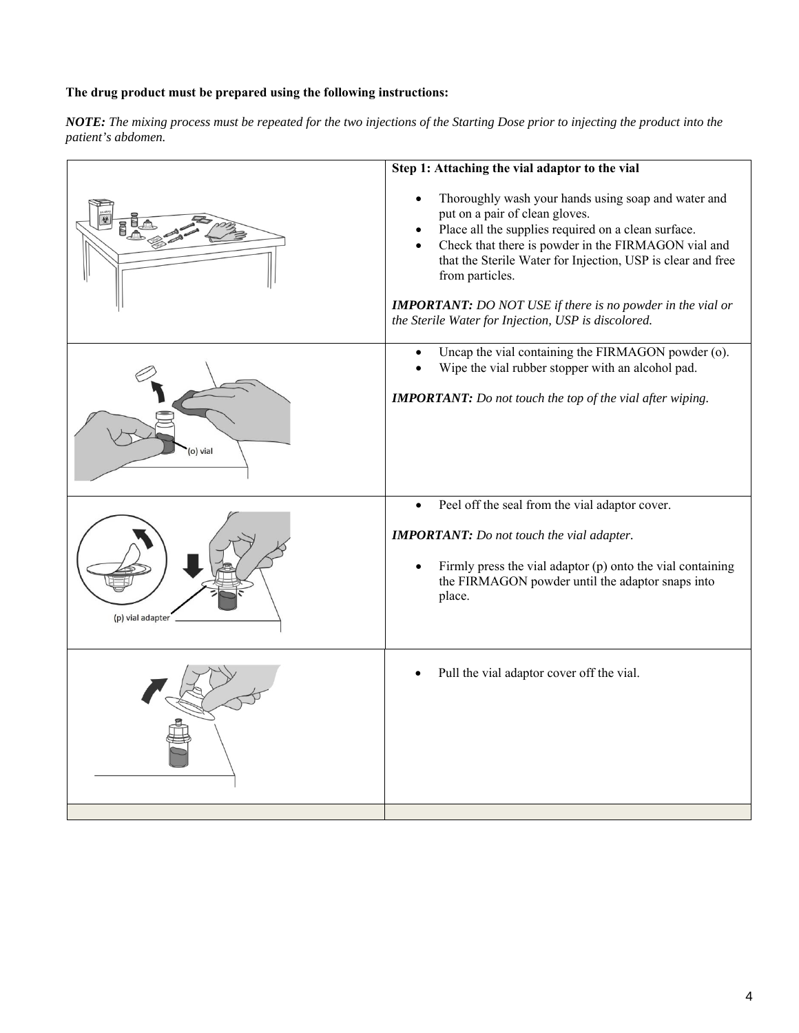## **The drug product must be prepared using the following instructions:**

*NOTE: The mixing process must be repeated for the two injections of the Starting Dose prior to injecting the product into the patient's abdomen.*

|                  | Step 1: Attaching the vial adaptor to the vial                                                                                                                                                                                                                                                                                                                                                                    |
|------------------|-------------------------------------------------------------------------------------------------------------------------------------------------------------------------------------------------------------------------------------------------------------------------------------------------------------------------------------------------------------------------------------------------------------------|
|                  | Thoroughly wash your hands using soap and water and<br>put on a pair of clean gloves.<br>Place all the supplies required on a clean surface.<br>Check that there is powder in the FIRMAGON vial and<br>that the Sterile Water for Injection, USP is clear and free<br>from particles.<br><b>IMPORTANT:</b> DO NOT USE if there is no powder in the vial or<br>the Sterile Water for Injection, USP is discolored. |
|                  |                                                                                                                                                                                                                                                                                                                                                                                                                   |
|                  | Uncap the vial containing the FIRMAGON powder (o).<br>Wipe the vial rubber stopper with an alcohol pad.<br><b>IMPORTANT:</b> Do not touch the top of the vial after wiping.                                                                                                                                                                                                                                       |
| o) vial          |                                                                                                                                                                                                                                                                                                                                                                                                                   |
|                  | Peel off the seal from the vial adaptor cover.                                                                                                                                                                                                                                                                                                                                                                    |
| (p) vial adapter | <b>IMPORTANT:</b> Do not touch the vial adapter.<br>Firmly press the vial adaptor $(p)$ onto the vial containing<br>the FIRMAGON powder until the adaptor snaps into<br>place.                                                                                                                                                                                                                                    |
|                  | Pull the vial adaptor cover off the vial.                                                                                                                                                                                                                                                                                                                                                                         |
|                  |                                                                                                                                                                                                                                                                                                                                                                                                                   |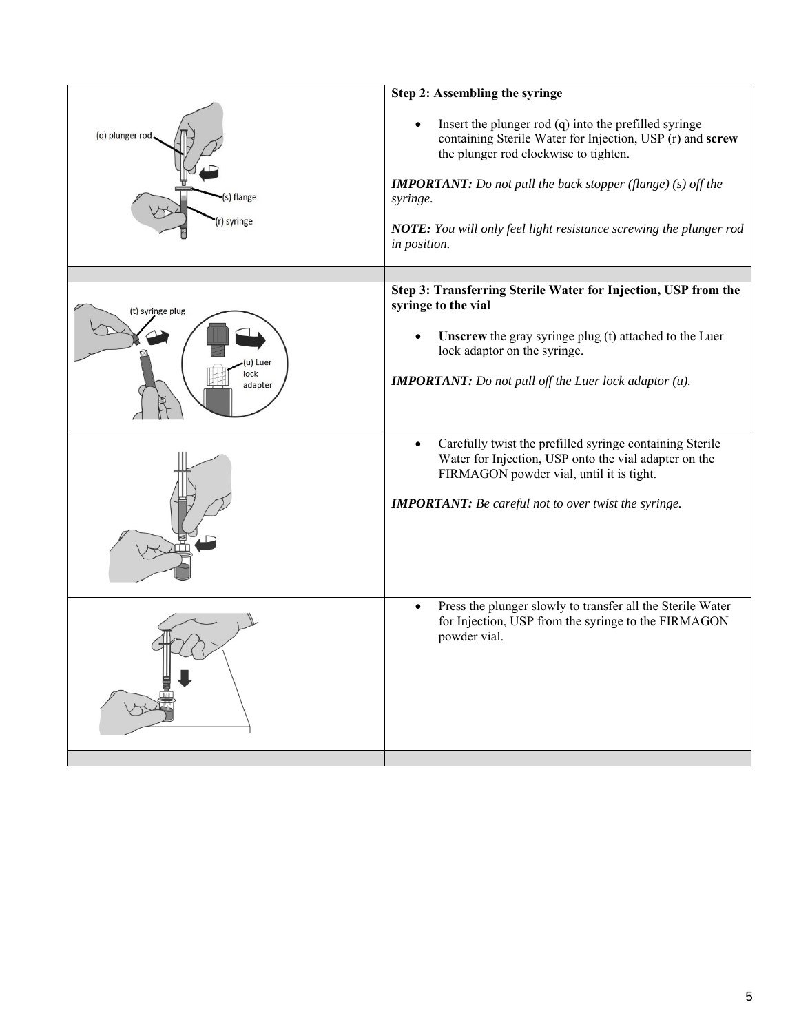| (q) plunger rod<br>(s) flange<br>r) syringe     | Step 2: Assembling the syringe<br>Insert the plunger rod $(q)$ into the prefilled syringe<br>containing Sterile Water for Injection, USP (r) and screw<br>the plunger rod clockwise to tighten.<br><b>IMPORTANT:</b> Do not pull the back stopper (flange) $(s)$ off the<br>syringe.<br>NOTE: You will only feel light resistance screwing the plunger rod<br>in position. |
|-------------------------------------------------|----------------------------------------------------------------------------------------------------------------------------------------------------------------------------------------------------------------------------------------------------------------------------------------------------------------------------------------------------------------------------|
| (t) syringe plug<br>(u) Luer<br>lock<br>adapter | Step 3: Transferring Sterile Water for Injection, USP from the<br>syringe to the vial<br><b>Unscrew</b> the gray syringe plug (t) attached to the Luer<br>lock adaptor on the syringe.<br><b>IMPORTANT:</b> Do not pull off the Luer lock adaptor $(u)$ .                                                                                                                  |
|                                                 | Carefully twist the prefilled syringe containing Sterile<br>$\bullet$<br>Water for Injection, USP onto the vial adapter on the<br>FIRMAGON powder vial, until it is tight.<br><b>IMPORTANT:</b> Be careful not to over twist the syringe.                                                                                                                                  |
|                                                 | Press the plunger slowly to transfer all the Sterile Water<br>$\bullet$<br>for Injection, USP from the syringe to the FIRMAGON<br>powder vial.                                                                                                                                                                                                                             |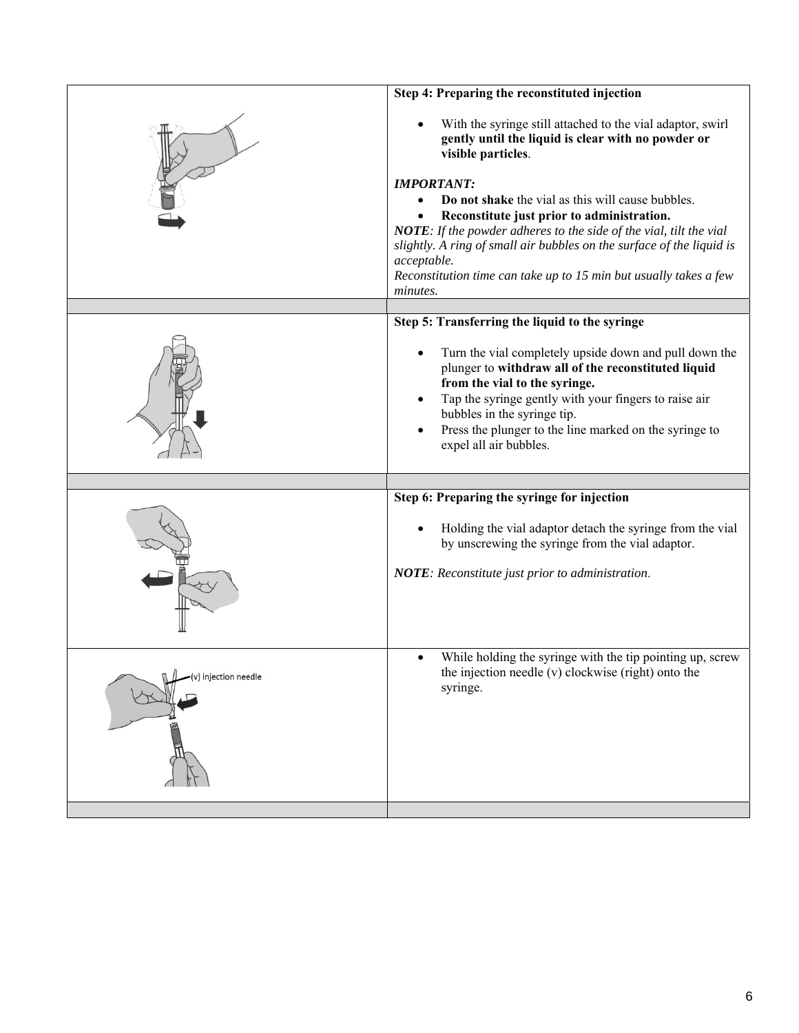|                      | With the syringe still attached to the vial adaptor, swirl<br>gently until the liquid is clear with no powder or<br>visible particles.<br><b>IMPORTANT:</b><br>Do not shake the vial as this will cause bubbles.<br>Reconstitute just prior to administration.<br>NOTE: If the powder adheres to the side of the vial, tilt the vial<br>slightly. A ring of small air bubbles on the surface of the liquid is<br>acceptable.<br>Reconstitution time can take up to 15 min but usually takes a few<br>minutes. |
|----------------------|---------------------------------------------------------------------------------------------------------------------------------------------------------------------------------------------------------------------------------------------------------------------------------------------------------------------------------------------------------------------------------------------------------------------------------------------------------------------------------------------------------------|
|                      | Step 5: Transferring the liquid to the syringe<br>Turn the vial completely upside down and pull down the<br>plunger to withdraw all of the reconstituted liquid<br>from the vial to the syringe.<br>Tap the syringe gently with your fingers to raise air<br>bubbles in the syringe tip.<br>Press the plunger to the line marked on the syringe to<br>expel all air bubbles.                                                                                                                                  |
|                      | Step 6: Preparing the syringe for injection<br>Holding the vial adaptor detach the syringe from the vial<br>by unscrewing the syringe from the vial adaptor.<br>NOTE: Reconstitute just prior to administration.                                                                                                                                                                                                                                                                                              |
| (v) injection needle | While holding the syringe with the tip pointing up, screw<br>$\bullet$<br>the injection needle (v) clockwise (right) onto the<br>syringe.                                                                                                                                                                                                                                                                                                                                                                     |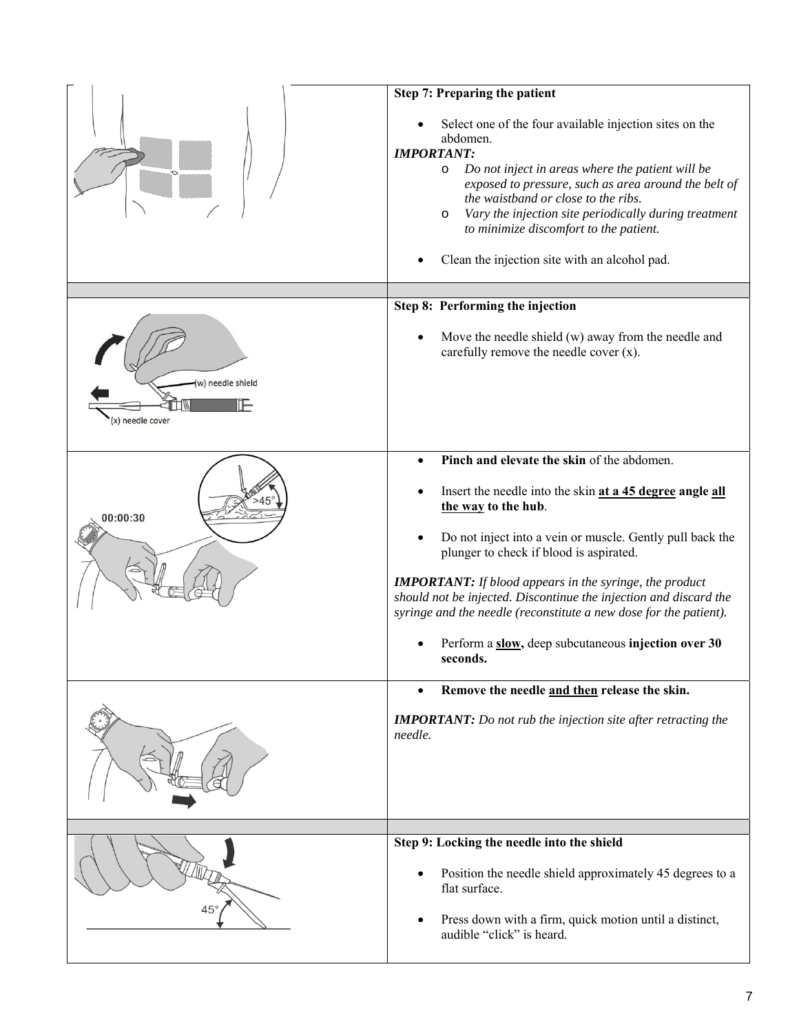|                                    | Step 7: Preparing the patient                                                                                                                                                                                                                                                                                                                                                                                                                                                       |
|------------------------------------|-------------------------------------------------------------------------------------------------------------------------------------------------------------------------------------------------------------------------------------------------------------------------------------------------------------------------------------------------------------------------------------------------------------------------------------------------------------------------------------|
|                                    | Select one of the four available injection sites on the<br>abdomen.<br><b>IMPORTANT:</b><br>Do not inject in areas where the patient will be<br>$\circ$<br>exposed to pressure, such as area around the belt of<br>the waistband or close to the ribs.<br>Vary the injection site periodically during treatment<br>O<br>to minimize discomfort to the patient.<br>Clean the injection site with an alcohol pad.                                                                     |
|                                    | Step 8: Performing the injection                                                                                                                                                                                                                                                                                                                                                                                                                                                    |
| w) needle shield<br>) needle cover | Move the needle shield (w) away from the needle and<br>carefully remove the needle cover $(x)$ .                                                                                                                                                                                                                                                                                                                                                                                    |
|                                    | Pinch and elevate the skin of the abdomen.<br>$\bullet$                                                                                                                                                                                                                                                                                                                                                                                                                             |
| 00:00:30                           | Insert the needle into the skin at a 45 degree angle all<br>the way to the hub.<br>Do not inject into a vein or muscle. Gently pull back the<br>$\bullet$<br>plunger to check if blood is aspirated.<br><b>IMPORTANT:</b> If blood appears in the syringe, the product<br>should not be injected. Discontinue the injection and discard the<br>syringe and the needle (reconstitute a new dose for the patient).<br>Perform a slow, deep subcutaneous injection over 30<br>seconds. |
|                                    | Remove the needle and then release the skin.<br>$\bullet$                                                                                                                                                                                                                                                                                                                                                                                                                           |
|                                    | <b>IMPORTANT:</b> Do not rub the injection site after retracting the<br>needle.                                                                                                                                                                                                                                                                                                                                                                                                     |
|                                    |                                                                                                                                                                                                                                                                                                                                                                                                                                                                                     |
|                                    | Step 9: Locking the needle into the shield<br>Position the needle shield approximately 45 degrees to a<br>$\bullet$<br>flat surface.<br>Press down with a firm, quick motion until a distinct,<br>$\bullet$<br>audible "click" is heard.                                                                                                                                                                                                                                            |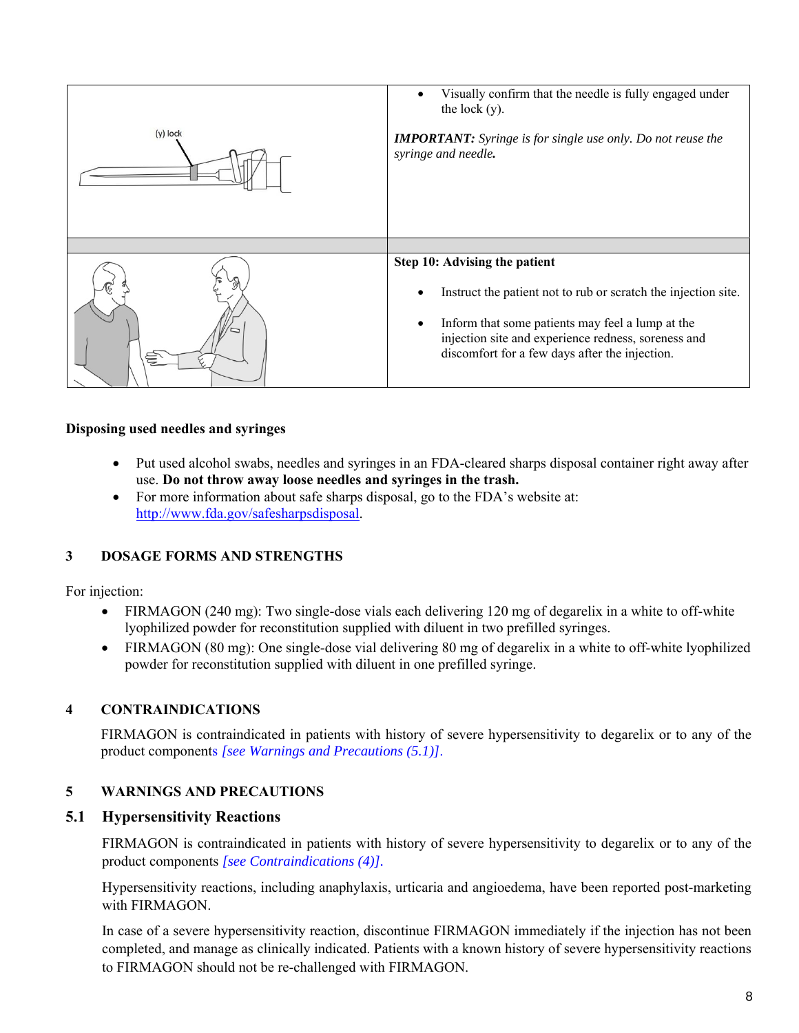

### **Disposing used needles and syringes**

- Put used alcohol swabs, needles and syringes in an FDA-cleared sharps disposal container right away after use. **Do not throw away loose needles and syringes in the trash.**
- For more information about safe sharps disposal, go to the FDA's website at: http://www.fda.gov/safesharpsdisposal.

## **3 DOSAGE FORMS AND STRENGTHS**

For injection:

- FIRMAGON (240 mg): Two single-dose vials each delivering 120 mg of degarelix in a white to off-white lyophilized powder for reconstitution supplied with diluent in two prefilled syringes.
- FIRMAGON (80 mg): One single-dose vial delivering 80 mg of degarelix in a white to off-white lyophilized powder for reconstitution supplied with diluent in one prefilled syringe.

## **4 CONTRAINDICATIONS**

FIRMAGON is contraindicated in patients with history of severe hypersensitivity to degarelix or to any of the product components *[\[see Warnings and Precautions \(5.1\)\]](#page-7-0)*.

## **5 WARNINGS AND PRECAUTIONS**

### **5.1 Hypersensitivity Reactions**

FIRMAGON is contraindicated in patients with history of severe hypersensitivity to degarelix or to any of the product components *[\[see Contraindications \(4\)\].](#page-7-0)*

Hypersensitivity reactions, including anaphylaxis, urticaria and angioedema, have been reported post-marketing with FIRMAGON.

<span id="page-7-1"></span><span id="page-7-0"></span>In case of a severe hypersensitivity reaction, discontinue FIRMAGON immediately if the injection has not been completed, and manage as clinically indicated. Patients with a known history of severe hypersensitivity reactions to FIRMAGON should not be re-challenged with FIRMAGON.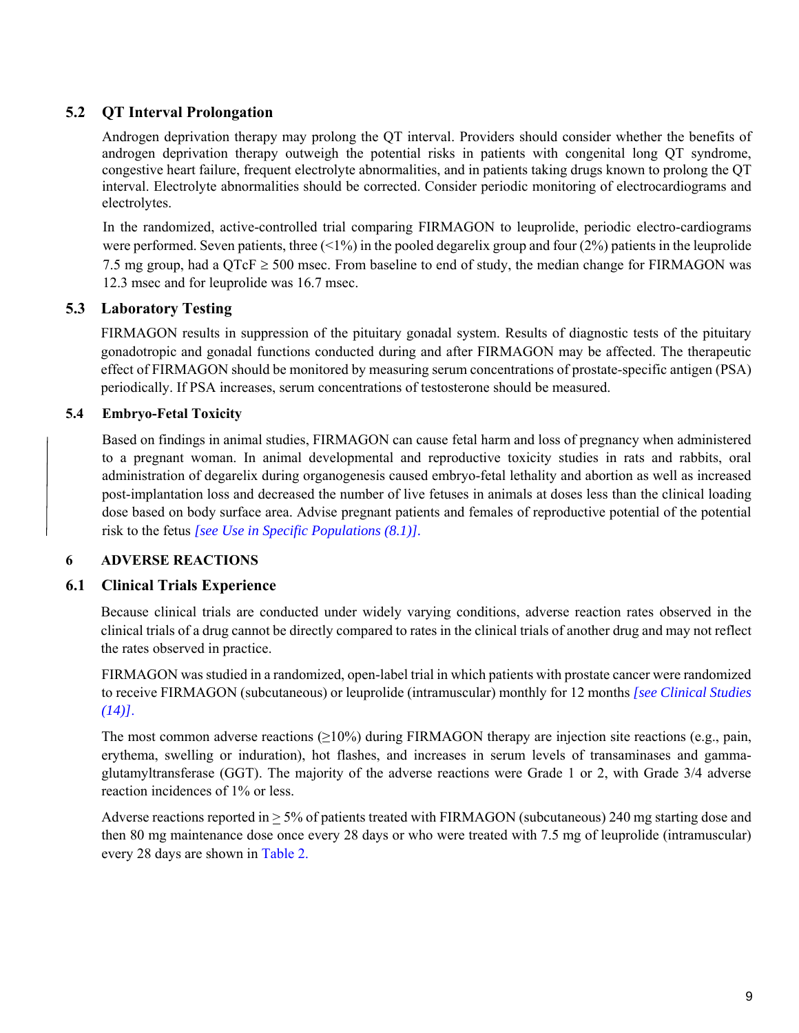# **5.2 QT Interval Prolongation**

Androgen deprivation therapy may prolong the QT interval. Providers should consider whether the benefits of androgen deprivation therapy outweigh the potential risks in patients with congenital long QT syndrome, congestive heart failure, frequent electrolyte abnormalities, and in patients taking drugs known to prolong the QT interval. Electrolyte abnormalities should be corrected. Consider periodic monitoring of electrocardiograms and electrolytes.

In the randomized, active-controlled trial comparing FIRMAGON to leuprolide, periodic electro-cardiograms were performed. Seven patients, three  $(1\%)$  in the pooled degarelix group and four (2%) patients in the leuprolide 7.5 mg group, had a  $\text{OTeF} \geq 500$  msec. From baseline to end of study, the median change for FIRMAGON was 12.3 msec and for leuprolide was 16.7 msec.

# **5.3 Laboratory Testing**

FIRMAGON results in suppression of the pituitary gonadal system. Results of diagnostic tests of the pituitary gonadotropic and gonadal functions conducted during and after FIRMAGON may be affected. The therapeutic effect of FIRMAGON should be monitored by measuring serum concentrations of prostate-specific antigen (PSA) periodically. If PSA increases, serum concentrations of testosterone should be measured.

# **5.4 Embryo-Fetal Toxicity**

Based on findings in animal studies, FIRMAGON can cause fetal harm and loss of pregnancy when administered to a pregnant woman. In animal developmental and reproductive toxicity studies in rats and rabbits, oral administration of degarelix during organogenesis caused embryo-fetal lethality and abortion as well as increased post-implantation loss and decreased the number of live fetuses in animals at doses less than the clinical loading dose based on body surface area. Advise pregnant patients and females of reproductive potential of the potential risk to the fetus *[\[see Use in Specific Populations \(8.1\)\].](#page-10-0)*

## **6 ADVERSE REACTIONS**

# **6.1 Clinical Trials Experience**

Because clinical trials are conducted under widely varying conditions, adverse reaction rates observed in the clinical trials of a drug cannot be directly compared to rates in the clinical trials of another drug and may not reflect the rates observed in practice.

FIRMAGON was studied in a randomized, open-label trial in which patients with prostate cancer were randomized to receive FIRMAGON (subcutaneous) or leuprolide (intramuscular) monthly for 12 months *[\[see Clinical Studies](#page-14-0)  [\(14\)\]](#page-14-0)*.

The most common adverse reactions  $(\geq 10\%)$  during FIRMAGON therapy are injection site reactions (e.g., pain, erythema, swelling or induration), hot flashes, and increases in serum levels of transaminases and gammaglutamyltransferase (GGT). The majority of the adverse reactions were Grade 1 or 2, with Grade 3/4 adverse reaction incidences of 1% or less.

<span id="page-8-0"></span>Adverse reactions reported in  $\geq$  5% of patients treated with FIRMAGON (subcutaneous) 240 mg starting dose and then 80 mg maintenance dose once every 28 days or who were treated with 7.5 mg of leuprolide (intramuscular) every 28 days are shown in [Table 2.](#page-9-0)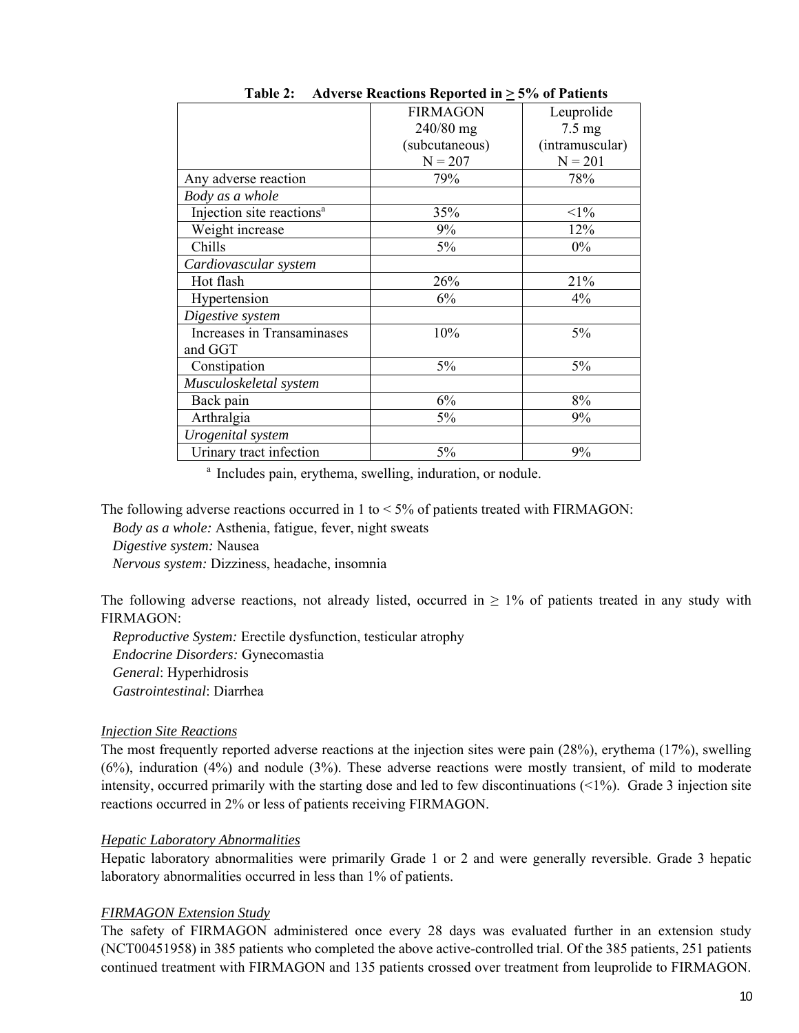|                                       | <b>FIRMAGON</b> | Leuprolide       |
|---------------------------------------|-----------------|------------------|
|                                       | 240/80 mg       | $7.5 \text{ mg}$ |
|                                       | (subcutaneous)  | (intramuscular)  |
|                                       | $N = 207$       | $N = 201$        |
| Any adverse reaction                  | 79%             | 78%              |
| Body as a whole                       |                 |                  |
| Injection site reactions <sup>a</sup> | 35%             | $<1\%$           |
| Weight increase                       | 9%              | 12%              |
| Chills                                | 5%              | $0\%$            |
| Cardiovascular system                 |                 |                  |
| Hot flash                             | 26%             | 21%              |
| Hypertension                          | 6%              | 4%               |
| Digestive system                      |                 |                  |
| Increases in Transaminases            | 10%             | 5%               |
| and GGT                               |                 |                  |
| Constipation                          | 5%              | 5%               |
| Musculoskeletal system                |                 |                  |
| Back pain                             | 6%              | 8%               |
| Arthralgia                            | 5%              | 9%               |
| Urogenital system                     |                 |                  |
| Urinary tract infection               | 5%              | 9%               |

Table 2: Adverse Reactions Reported in  $\geq$  5% of Patients

<sup>a</sup> Includes pain, erythema, swelling, induration, or nodule.

The following adverse reactions occurred in 1 to  $<$  5% of patients treated with FIRMAGON:

*Body as a whole:* Asthenia, fatigue, fever, night sweats

*Digestive system:* Nausea

*Nervous system:* Dizziness, headache, insomnia

The following adverse reactions, not already listed, occurred in  $\geq 1\%$  of patients treated in any study with FIRMAGON:

*Reproductive System:* Erectile dysfunction, testicular atrophy *Endocrine Disorders:* Gynecomastia *General*: Hyperhidrosis *Gastrointestinal*: Diarrhea

### *Injection Site Reactions*

The most frequently reported adverse reactions at the injection sites were pain (28%), erythema (17%), swelling (6%), induration (4%) and nodule (3%). These adverse reactions were mostly transient, of mild to moderate intensity, occurred primarily with the starting dose and led to few discontinuations  $\leq 1\%$ ). Grade 3 injection site reactions occurred in 2% or less of patients receiving FIRMAGON.

## *Hepatic Laboratory Abnormalities*

Hepatic laboratory abnormalities were primarily Grade 1 or 2 and were generally reversible. Grade 3 hepatic laboratory abnormalities occurred in less than 1% of patients.

### *FIRMAGON Extension Study*

<span id="page-9-0"></span>The safety of FIRMAGON administered once every 28 days was evaluated further in an extension study (NCT00451958) in 385 patients who completed the above active-controlled trial. Of the 385 patients, 251 patients continued treatment with FIRMAGON and 135 patients crossed over treatment from leuprolide to FIRMAGON.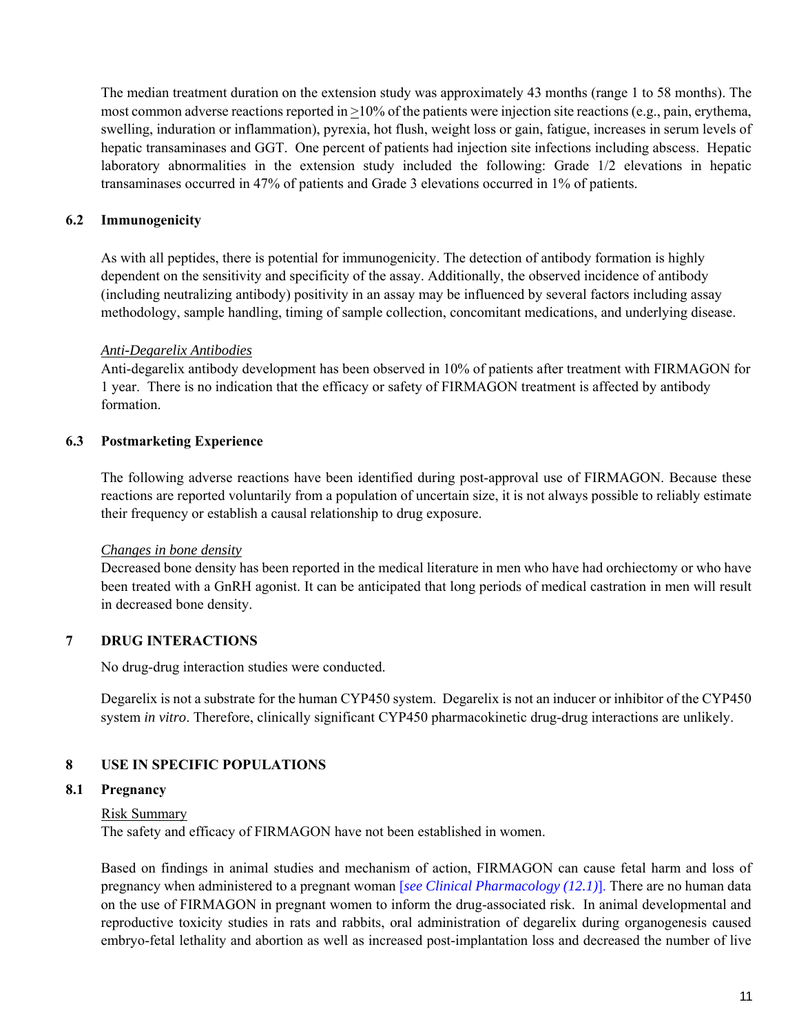The median treatment duration on the extension study was approximately 43 months (range 1 to 58 months). The most common adverse reactions reported in >10% of the patients were injection site reactions (e.g., pain, erythema, swelling, induration or inflammation), pyrexia, hot flush, weight loss or gain, fatigue, increases in serum levels of hepatic transaminases and GGT. One percent of patients had injection site infections including abscess. Hepatic laboratory abnormalities in the extension study included the following: Grade 1/2 elevations in hepatic transaminases occurred in 47% of patients and Grade 3 elevations occurred in 1% of patients.

## **6.2 Immunogenicity**

As with all peptides, there is potential for immunogenicity. The detection of antibody formation is highly dependent on the sensitivity and specificity of the assay. Additionally, the observed incidence of antibody (including neutralizing antibody) positivity in an assay may be influenced by several factors including assay methodology, sample handling, timing of sample collection, concomitant medications, and underlying disease.

### *Anti-Degarelix Antibodies*

Anti-degarelix antibody development has been observed in 10% of patients after treatment with FIRMAGON for 1 year. There is no indication that the efficacy or safety of FIRMAGON treatment is affected by antibody formation.

### **6.3 Postmarketing Experience**

The following adverse reactions have been identified during post-approval use of FIRMAGON. Because these reactions are reported voluntarily from a population of uncertain size, it is not always possible to reliably estimate their frequency or establish a causal relationship to drug exposure.

### *Changes in bone density*

Decreased bone density has been reported in the medical literature in men who have had orchiectomy or who have been treated with a GnRH agonist. It can be anticipated that long periods of medical castration in men will result in decreased bone density.

## **7 DRUG INTERACTIONS**

No drug-drug interaction studies were conducted.

Degarelix is not a substrate for the human CYP450 system. Degarelix is not an inducer or inhibitor of the CYP450 system *in vitro*. Therefore, clinically significant CYP450 pharmacokinetic drug-drug interactions are unlikely.

## **8 USE IN SPECIFIC POPULATIONS**

### **8.1 Pregnancy**

### Risk Summary

The safety and efficacy of FIRMAGON have not been established in women.

<span id="page-10-0"></span>Based on findings in animal studies and mechanism of action, FIRMAGON can cause fetal harm and loss of pregnancy when administered to a pregnant woman [*[see Clinical Pharmacology \(12.1\)](#page-12-0)*]. There are no human data on the use of FIRMAGON in pregnant women to inform the drug-associated risk. In animal developmental and reproductive toxicity studies in rats and rabbits, oral administration of degarelix during organogenesis caused embryo-fetal lethality and abortion as well as increased post-implantation loss and decreased the number of live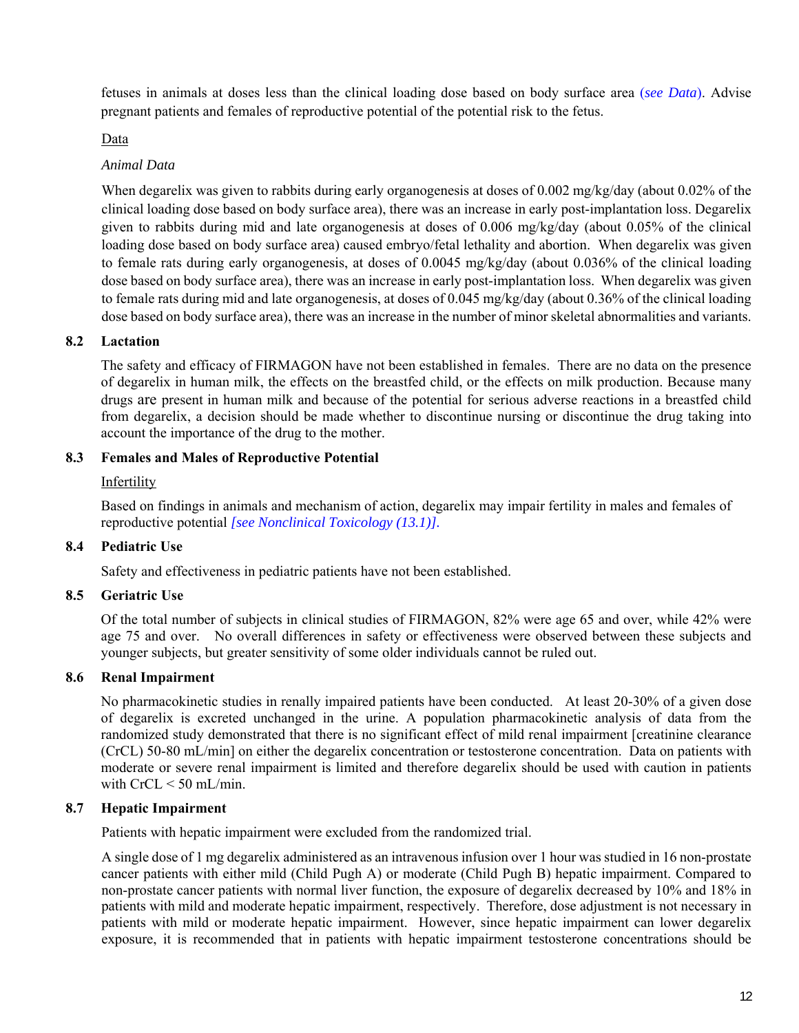fetuses in animals at doses less than the clinical loading dose based on body surface area (*[see Data](#page-11-1)*). Advise pregnant patients and females of reproductive potential of the potential risk to the fetus.

### Data

## *Animal Data*

When degarelix was given to rabbits during early organogenesis at doses of 0.002 mg/kg/day (about 0.02% of the clinical loading dose based on body surface area), there was an increase in early post-implantation loss. Degarelix given to rabbits during mid and late organogenesis at doses of 0.006 mg/kg/day (about 0.05% of the clinical loading dose based on body surface area) caused embryo/fetal lethality and abortion. When degarelix was given to female rats during early organogenesis, at doses of 0.0045 mg/kg/day (about 0.036% of the clinical loading dose based on body surface area), there was an increase in early post-implantation loss. When degarelix was given to female rats during mid and late organogenesis, at doses of 0.045 mg/kg/day (about 0.36% of the clinical loading dose based on body surface area), there was an increase in the number of minor skeletal abnormalities and variants.

### **8.2 Lactation**

The safety and efficacy of FIRMAGON have not been established in females. There are no data on the presence of degarelix in human milk, the effects on the breastfed child, or the effects on milk production. Because many drugs are present in human milk and because of the potential for serious adverse reactions in a breastfed child from degarelix, a decision should be made whether to discontinue nursing or discontinue the drug taking into account the importance of the drug to the mother.

### **8.3 Females and Males of Reproductive Potential**

### Infertility

Based on findings in animals and mechanism of action, degarelix may impair fertility in males and females of reproductive potential *[\[see Nonclinical Toxicology \(13.1\)\].](#page-14-0)*

## **8.4 Pediatric Use**

Safety and effectiveness in pediatric patients have not been established.

## **8.5 Geriatric Use**

Of the total number of subjects in clinical studies of FIRMAGON, 82% were age 65 and over, while 42% were age 75 and over. No overall differences in safety or effectiveness were observed between these subjects and younger subjects, but greater sensitivity of some older individuals cannot be ruled out.

### **8.6 Renal Impairment**

No pharmacokinetic studies in renally impaired patients have been conducted. At least 20-30% of a given dose of degarelix is excreted unchanged in the urine. A population pharmacokinetic analysis of data from the randomized study demonstrated that there is no significant effect of mild renal impairment [creatinine clearance (CrCL) 50-80 mL/min] on either the degarelix concentration or testosterone concentration. Data on patients with moderate or severe renal impairment is limited and therefore degarelix should be used with caution in patients with CrCL < 50 mL/min.

### <span id="page-11-1"></span>**8.7 Hepatic Impairment**

Patients with hepatic impairment were excluded from the randomized trial.

<span id="page-11-0"></span>A single dose of 1 mg degarelix administered as an intravenous infusion over 1 hour was studied in 16 non-prostate cancer patients with either mild (Child Pugh A) or moderate (Child Pugh B) hepatic impairment. Compared to non-prostate cancer patients with normal liver function, the exposure of degarelix decreased by 10% and 18% in patients with mild and moderate hepatic impairment, respectively. Therefore, dose adjustment is not necessary in patients with mild or moderate hepatic impairment. However, since hepatic impairment can lower degarelix exposure, it is recommended that in patients with hepatic impairment testosterone concentrations should be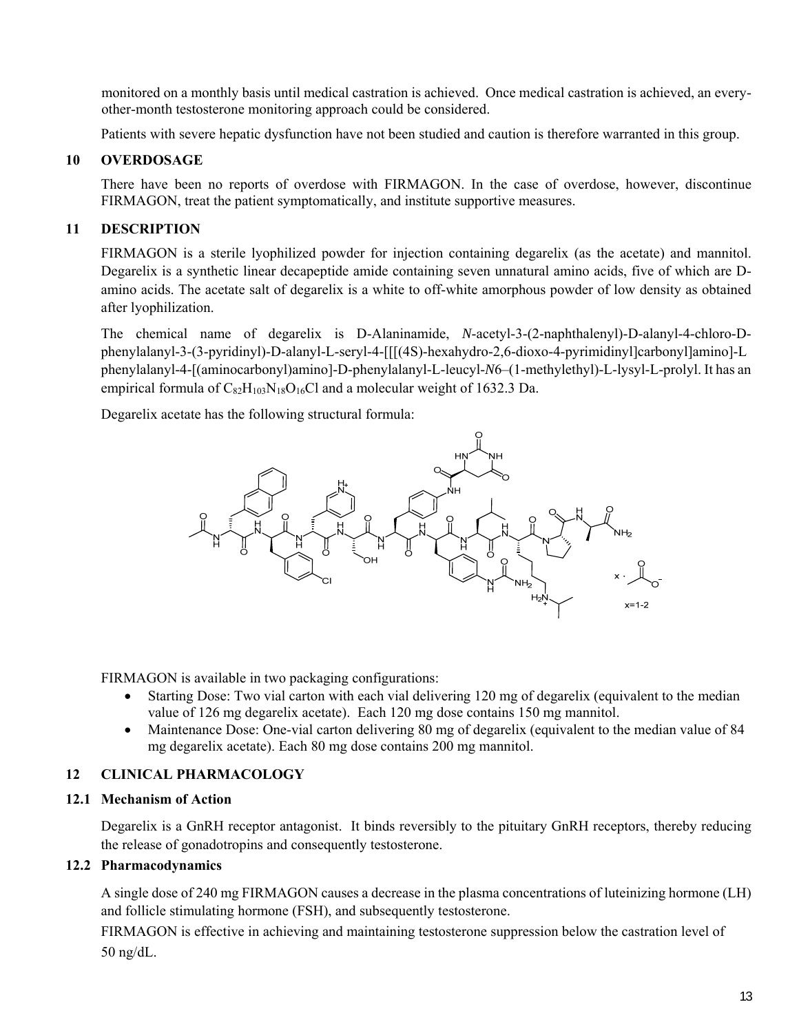monitored on a monthly basis until medical castration is achieved. Once medical castration is achieved, an everyother-month testosterone monitoring approach could be considered.

Patients with severe hepatic dysfunction have not been studied and caution is therefore warranted in this group.

## **10 OVERDOSAGE**

There have been no reports of overdose with FIRMAGON. In the case of overdose, however, discontinue FIRMAGON, treat the patient symptomatically, and institute supportive measures.

## **11 DESCRIPTION**

FIRMAGON is a sterile lyophilized powder for injection containing degarelix (as the acetate) and mannitol. Degarelix is a synthetic linear decapeptide amide containing seven unnatural amino acids, five of which are Damino acids. The acetate salt of degarelix is a white to off-white amorphous powder of low density as obtained after lyophilization.

The chemical name of degarelix is D-Alaninamide, *N*-acetyl-3-(2-naphthalenyl)-D-alanyl-4-chloro-Dphenylalanyl-3-(3-pyridinyl)-D-alanyl-L-seryl-4-[[[(4S)-hexahydro-2,6-dioxo-4-pyrimidinyl]carbonyl]amino]-L phenylalanyl-4-[(aminocarbonyl)amino]-D-phenylalanyl-L-leucyl-*N*6–(1-methylethyl)-L-lysyl-L-prolyl. It has an empirical formula of  $C_{82}H_{103}N_{18}O_{16}Cl$  and a molecular weight of 1632.3 Da.

Degarelix acetate has the following structural formula:



FIRMAGON is available in two packaging configurations:

- Starting Dose: Two vial carton with each vial delivering 120 mg of degarelix (equivalent to the median value of 126 mg degarelix acetate). Each 120 mg dose contains 150 mg mannitol.
- Maintenance Dose: One-vial carton delivering 80 mg of degarelix (equivalent to the median value of 84 mg degarelix acetate). Each 80 mg dose contains 200 mg mannitol.

## **12 CLINICAL PHARMACOLOGY**

## **12.1 Mechanism of Action**

Degarelix is a GnRH receptor antagonist. It binds reversibly to the pituitary GnRH receptors, thereby reducing the release of gonadotropins and consequently testosterone.

## **12.2 Pharmacodynamics**

A single dose of 240 mg FIRMAGON causes a decrease in the plasma concentrations of luteinizing hormone (LH) and follicle stimulating hormone (FSH), and subsequently testosterone.

<span id="page-12-0"></span>FIRMAGON is effective in achieving and maintaining testosterone suppression below the castration level of 50 ng/dL.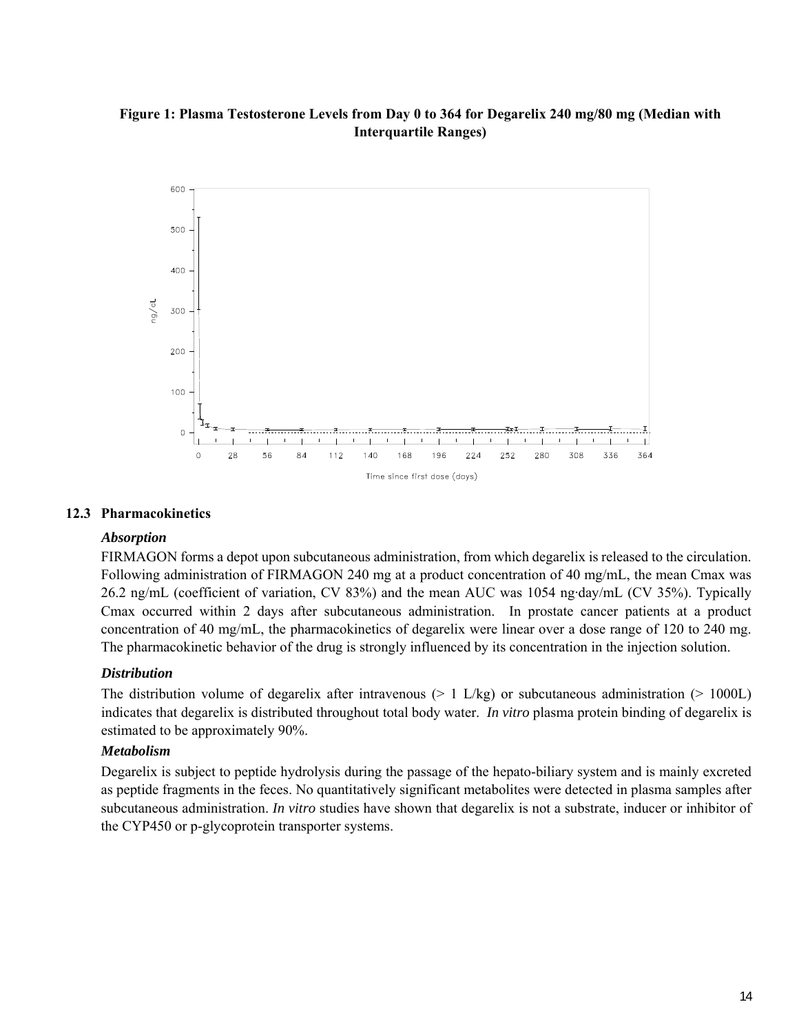## **Figure 1: Plasma Testosterone Levels from Day 0 to 364 for Degarelix 240 mg/80 mg (Median with Interquartile Ranges)**



#### **12.3 Pharmacokinetics**

#### *Absorption*

FIRMAGON forms a depot upon subcutaneous administration, from which degarelix is released to the circulation. Following administration of FIRMAGON 240 mg at a product concentration of 40 mg/mL, the mean Cmax was 26.2 ng/mL (coefficient of variation, CV 83%) and the mean AUC was 1054 ng·day/mL (CV 35%). Typically Cmax occurred within 2 days after subcutaneous administration. In prostate cancer patients at a product concentration of 40 mg/mL, the pharmacokinetics of degarelix were linear over a dose range of 120 to 240 mg. The pharmacokinetic behavior of the drug is strongly influenced by its concentration in the injection solution.

#### *Distribution*

The distribution volume of degarelix after intravenous  $(> 1 \text{ L/kg})$  or subcutaneous administration  $(> 1000 \text{ L})$ indicates that degarelix is distributed throughout total body water. *In vitro* plasma protein binding of degarelix is estimated to be approximately 90%.

### *Metabolism*

<span id="page-13-0"></span>Degarelix is subject to peptide hydrolysis during the passage of the hepato-biliary system and is mainly excreted as peptide fragments in the feces. No quantitatively significant metabolites were detected in plasma samples after subcutaneous administration. *In vitro* studies have shown that degarelix is not a substrate, inducer or inhibitor of the CYP450 or p-glycoprotein transporter systems.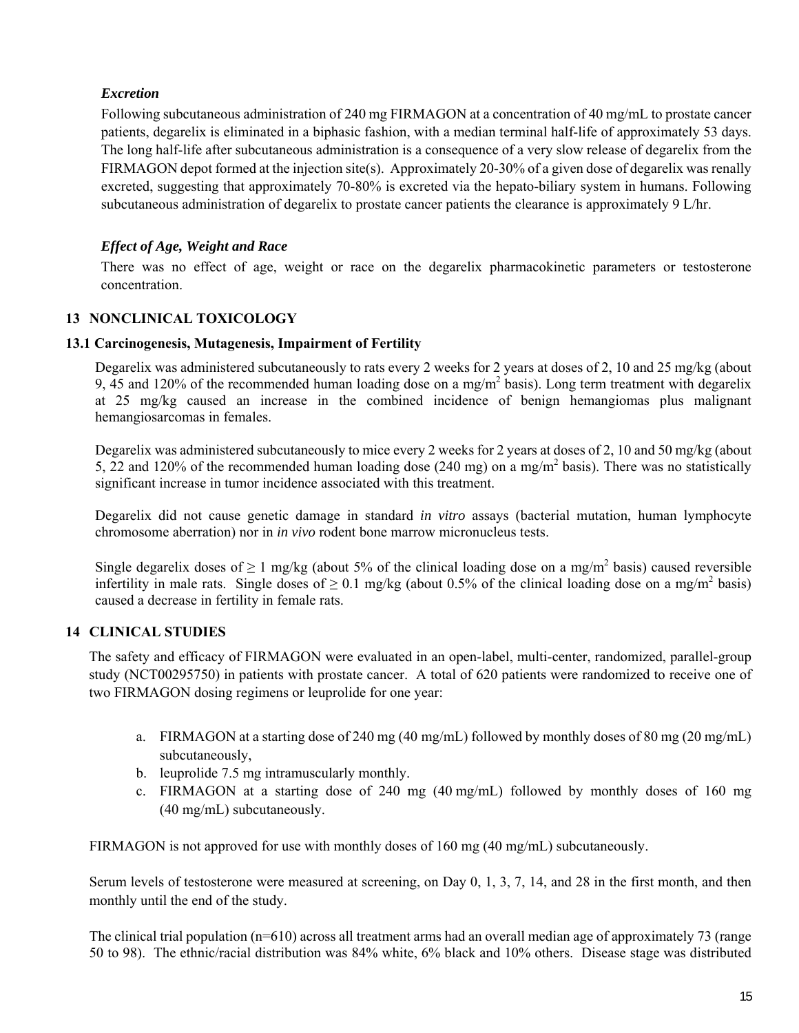# *Excretion*

Following subcutaneous administration of 240 mg FIRMAGON at a concentration of 40 mg/mL to prostate cancer patients, degarelix is eliminated in a biphasic fashion, with a median terminal half-life of approximately 53 days. The long half-life after subcutaneous administration is a consequence of a very slow release of degarelix from the FIRMAGON depot formed at the injection site(s). Approximately 20-30% of a given dose of degarelix was renally excreted, suggesting that approximately 70-80% is excreted via the hepato-biliary system in humans. Following subcutaneous administration of degarelix to prostate cancer patients the clearance is approximately 9 L/hr.

# *Effect of Age, Weight and Race*

There was no effect of age, weight or race on the degarelix pharmacokinetic parameters or testosterone concentration.

# **13 NONCLINICAL TOXICOLOGY**

### **13.1 Carcinogenesis, Mutagenesis, Impairment of Fertility**

Degarelix was administered subcutaneously to rats every 2 weeks for 2 years at doses of 2, 10 and 25 mg/kg (about 9, 45 and 120% of the recommended human loading dose on a mg/m<sup>2</sup> basis). Long term treatment with degarelix at 25 mg/kg caused an increase in the combined incidence of benign hemangiomas plus malignant hemangiosarcomas in females.

Degarelix was administered subcutaneously to mice every 2 weeks for 2 years at doses of 2, 10 and 50 mg/kg (about 5, 22 and 120% of the recommended human loading dose  $(240 \text{ mg})$  on a mg/m<sup>2</sup> basis). There was no statistically significant increase in tumor incidence associated with this treatment.

Degarelix did not cause genetic damage in standard *in vitro* assays (bacterial mutation, human lymphocyte chromosome aberration) nor in *in vivo* rodent bone marrow micronucleus tests.

Single degarelix doses of  $\geq 1$  mg/kg (about 5% of the clinical loading dose on a mg/m<sup>2</sup> basis) caused reversible infertility in male rats. Single doses of  $\geq 0.1$  mg/kg (about 0.5% of the clinical loading dose on a mg/m<sup>2</sup> basis) caused a decrease in fertility in female rats.

## **14 CLINICAL STUDIES**

The safety and efficacy of FIRMAGON were evaluated in an open-label, multi-center, randomized, parallel-group study (NCT00295750) in patients with prostate cancer. A total of 620 patients were randomized to receive one of two FIRMAGON dosing regimens or leuprolide for one year:

- a. FIRMAGON at a starting dose of 240 mg (40 mg/mL) followed by monthly doses of 80 mg (20 mg/mL) subcutaneously,
- b. leuprolide 7.5 mg intramuscularly monthly.
- c. FIRMAGON at a starting dose of 240 mg (40 mg/mL) followed by monthly doses of 160 mg (40 mg/mL) subcutaneously.

FIRMAGON is not approved for use with monthly doses of 160 mg (40 mg/mL) subcutaneously.

Serum levels of testosterone were measured at screening, on Day 0, 1, 3, 7, 14, and 28 in the first month, and then monthly until the end of the study.

<span id="page-14-0"></span>The clinical trial population ( $n=610$ ) across all treatment arms had an overall median age of approximately 73 (range 50 to 98). The ethnic/racial distribution was 84% white, 6% black and 10% others. Disease stage was distributed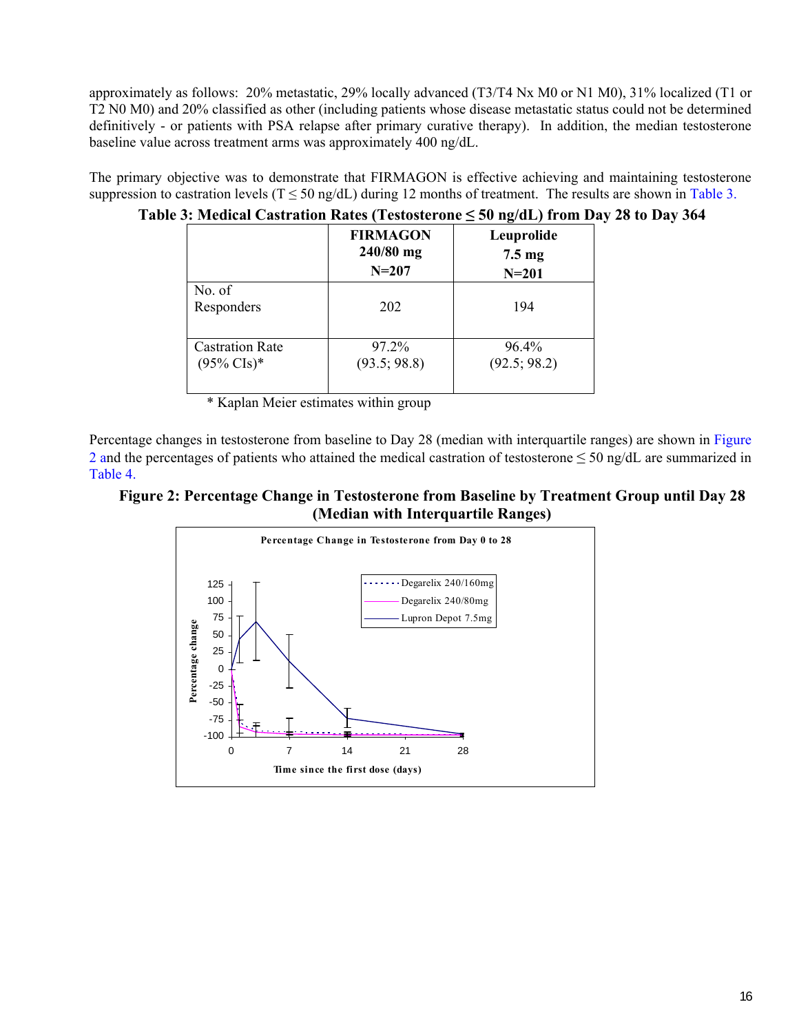approximately as follows: 20% metastatic, 29% locally advanced (T3/T4 Nx M0 or N1 M0), 31% localized (T1 or T2 N0 M0) and 20% classified as other (including patients whose disease metastatic status could not be determined definitively - or patients with PSA relapse after primary curative therapy). In addition, the median testosterone baseline value across treatment arms was approximately 400 ng/dL.

The primary objective was to demonstrate that FIRMAGON is effective achieving and maintaining testosterone suppression to castration levels ( $T \le 50$  ng/dL) during 12 months of treatment. The results are shown in Table 3.

|                                                  | <b>FIRMAGON</b><br>$240/80$ mg<br>$N = 207$ | Leuprolide<br>$7.5 \text{ mg}$<br>$N = 201$ |
|--------------------------------------------------|---------------------------------------------|---------------------------------------------|
| No. $of$<br>Responders                           | 202                                         | 194                                         |
| <b>Castration Rate</b><br>$(95\% \text{ Cls})^*$ | 97.2%<br>(93.5; 98.8)                       | $96.4\%$<br>(92.5; 98.2)                    |

# **Table 3: Medical Castration Rates (Testosterone ≤ 50 ng/dL) from Day 28 to Day 364**

\* Kaplan Meier estimates within group

 Percentage changes in testosterone from baseline to Day 28 (median with interquartile ranges) are shown in [Figure](#page-15-0)  [2 a](#page-15-0)nd the percentages of patients who attained the medical castration of testosterone  $\leq 50$  ng/dL are summarized in [Table 4.](#page-16-1) 

# <span id="page-15-1"></span><span id="page-15-0"></span>**Figure 2: Percentage Change in Testosterone from Baseline by Treatment Group until Day 28 (Median with Interquartile Ranges)**

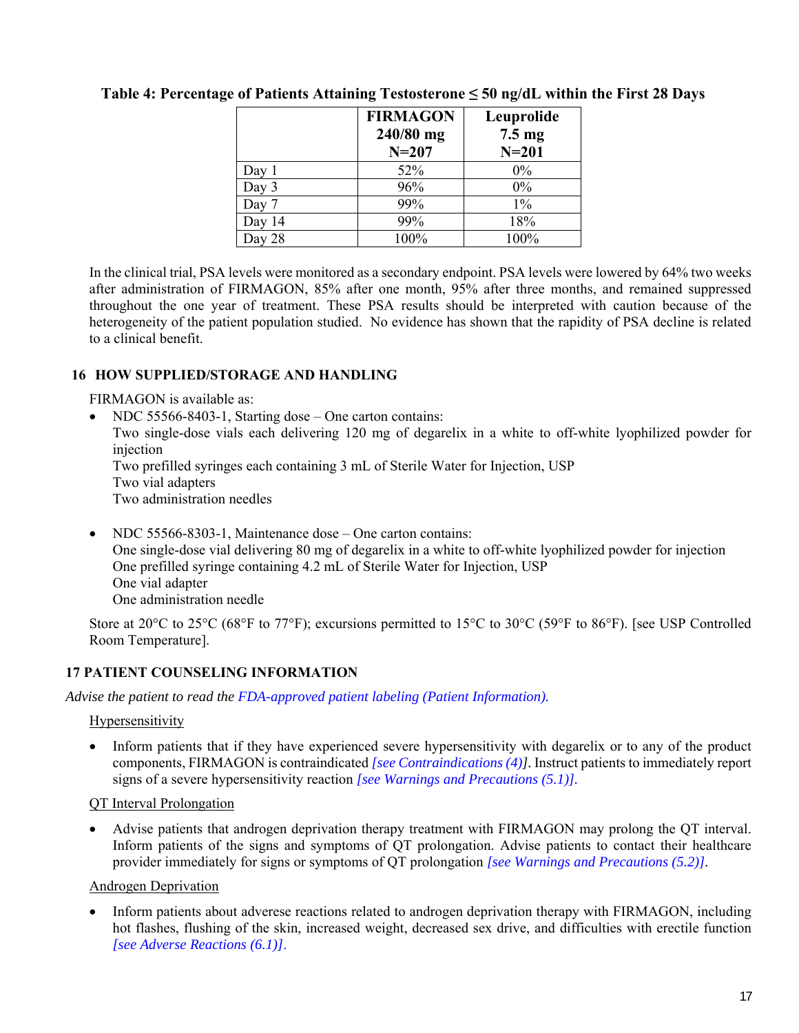|           | <b>FIRMAGON</b><br>240/80 mg<br>$N = 207$ | Leuprolide<br>$7.5 \text{ mg}$<br>$N=201$ |
|-----------|-------------------------------------------|-------------------------------------------|
| Day 1     | 52%                                       | $0\%$                                     |
| Day 3     | 96%                                       | 0%                                        |
| Day 7     | 99%                                       | $1\%$                                     |
| Day 14    | 99%                                       | 18%                                       |
| 28<br>Dav | 100%                                      | 100%                                      |

# **Table 4: Percentage of Patients Attaining Testosterone ≤ 50 ng/dL within the First 28 Days**

In the clinical trial, PSA levels were monitored as a secondary endpoint. PSA levels were lowered by 64% two weeks after administration of FIRMAGON, 85% after one month, 95% after three months, and remained suppressed throughout the one year of treatment. These PSA results should be interpreted with caution because of the heterogeneity of the patient population studied. No evidence has shown that the rapidity of PSA decline is related to a clinical benefit.

## **16 HOW SUPPLIED/STORAGE AND HANDLING**

FIRMAGON is available as:

- NDC 55566-8403-1, Starting dose One carton contains: Two single-dose vials each delivering 120 mg of degarelix in a white to off-white lyophilized powder for injection Two prefilled syringes each containing 3 mL of Sterile Water for Injection, USP Two vial adapters Two administration needles
- NDC 55566-8303-1, Maintenance dose One carton contains: One single-dose vial delivering 80 mg of degarelix in a white to off-white lyophilized powder for injection One prefilled syringe containing 4.2 mL of Sterile Water for Injection, USP One vial adapter One administration needle

Store at 20°C to 25°C (68°F to 77°F); excursions permitted to 15°C to 30°C (59°F to 86°F). [see USP Controlled Room Temperature].

## **17 PATIENT COUNSELING INFORMATION**

*Advise the patient to read the [FDA-approved patient labeling \(Patient Information\).](#page-18-0)* 

### **Hypersensitivity**

 Inform patients that if they have experienced severe hypersensitivity with degarelix or to any of the product components, FIRMAGON is contraindicated *[\[see Contraindications \(4\)\]](#page-7-0).* Instruct patients to immediately report signs of a severe hypersensitivity reaction *[\[see Warnings and Precautions \(5.1\)\].](#page-7-0)*

### QT Interval Prolongation

 Advise patients that androgen deprivation therapy treatment with FIRMAGON may prolong the QT interval. Inform patients of the signs and symptoms of QT prolongation. Advise patients to contact their healthcare provider immediately for signs or symptoms of QT prolongation *[\[see Warnings and Precautions \(5.2\)\].](#page-8-0)* 

### Androgen Deprivation

<span id="page-16-1"></span><span id="page-16-0"></span> Inform patients about adverese reactions related to androgen deprivation therapy with FIRMAGON, including hot flashes, flushing of the skin, increased weight, decreased sex drive, and difficulties with erectile function *[\[see Adverse Reactions \(6.1\)\]](#page-8-0)*.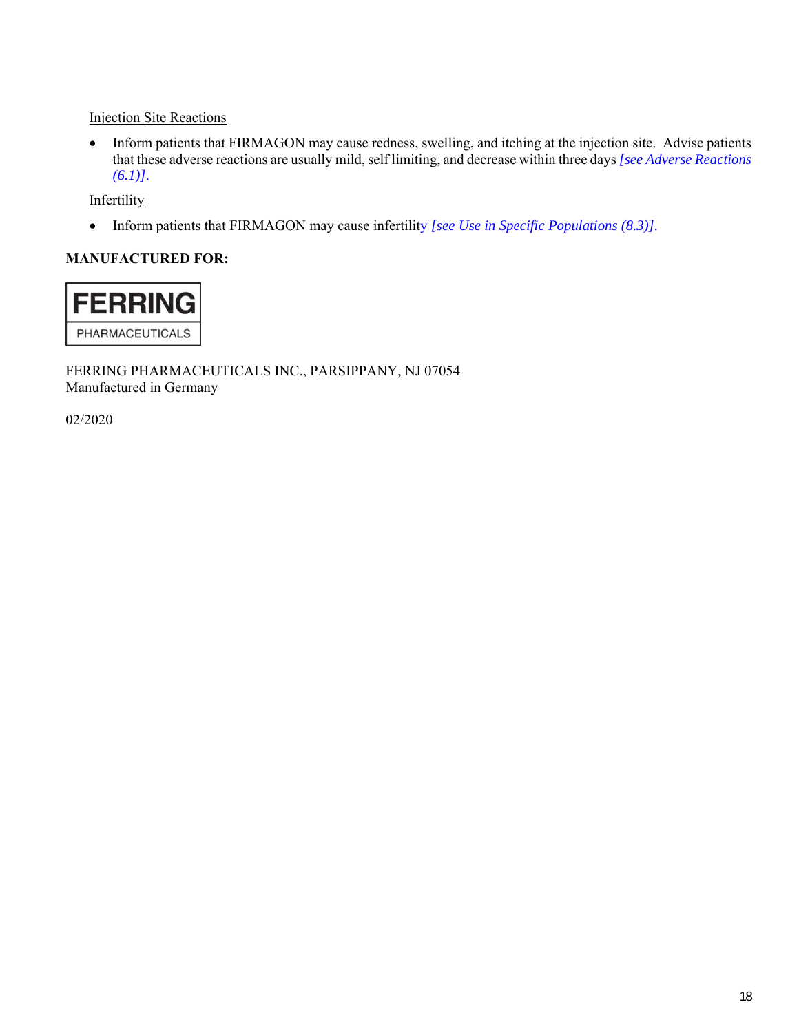Injection Site Reactions

 Inform patients that FIRMAGON may cause redness, swelling, and itching at the injection site. Advise patients that these adverse reactions are usually mild, self limiting, and decrease within three days *[\[see Adverse Reactions](#page-8-0)  [\(6.1\)\]](#page-8-0)*.

**Infertility** 

Inform patients that FIRMAGON may cause infertility *[\[see Use in Specific Populations \(8.3\)\].](#page-11-0)*

# **MANUFACTURED FOR:**



FERRING PHARMACEUTICALS INC., PARSIPPANY, NJ 07054 Manufactured in Germany

02/2020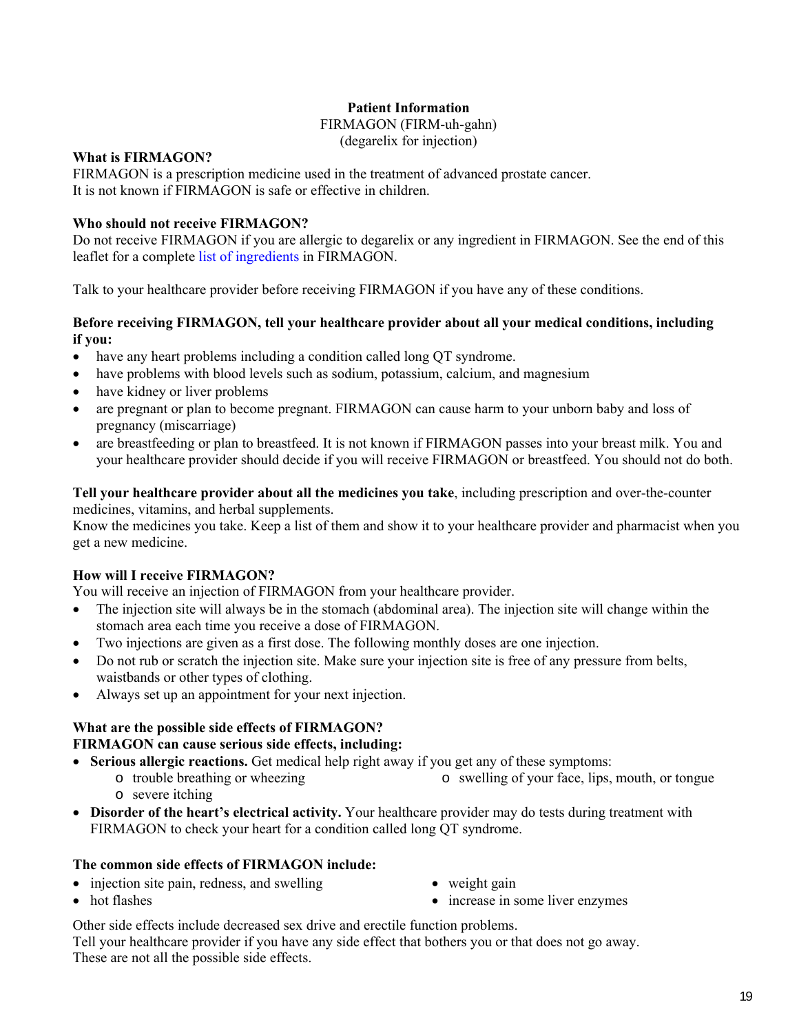## **Patient Information**

#### FIRMAGON (FIRM-uh-gahn)

(degarelix for injection)

### **What is FIRMAGON?**

FIRMAGON is a prescription medicine used in the treatment of advanced prostate cancer. It is not known if FIRMAGON is safe or effective in children.

## **Who should not receive FIRMAGON?**

Do not receive FIRMAGON if you are allergic to degarelix or any ingredient in FIRMAGON. See the end of this leaflet for a complet[e list of ingredients](#page-19-0) in FIRMAGON.

Talk to your healthcare provider before receiving FIRMAGON if you have any of these conditions.

### **Before receiving FIRMAGON, tell your healthcare provider about all your medical conditions, including if you:**

- have any heart problems including a condition called long QT syndrome.
- have problems with blood levels such as sodium, potassium, calcium, and magnesium
- have kidney or liver problems
- are pregnant or plan to become pregnant. FIRMAGON can cause harm to your unborn baby and loss of pregnancy (miscarriage)
- are breastfeeding or plan to breastfeed. It is not known if FIRMAGON passes into your breast milk. You and your healthcare provider should decide if you will receive FIRMAGON or breastfeed. You should not do both.

**Tell your healthcare provider about all the medicines you take**, including prescription and over-the-counter medicines, vitamins, and herbal supplements.

Know the medicines you take. Keep a list of them and show it to your healthcare provider and pharmacist when you get a new medicine.

## **How will I receive FIRMAGON?**

You will receive an injection of FIRMAGON from your healthcare provider.

- The injection site will always be in the stomach (abdominal area). The injection site will change within the stomach area each time you receive a dose of FIRMAGON.
- Two injections are given as a first dose. The following monthly doses are one injection.
- Do not rub or scratch the injection site. Make sure your injection site is free of any pressure from belts, waistbands or other types of clothing.
- Always set up an appointment for your next injection.

## **What are the possible side effects of FIRMAGON?**

### **FIRMAGON can cause serious side effects, including:**

- **Serious allergic reactions.** Get medical help right away if you get any of these symptoms:
	- o trouble breathing or wheezing o severe itching o swelling of your face, lips, mouth, or tongue
- **Disorder of the heart's electrical activity.** Your healthcare provider may do tests during treatment with FIRMAGON to check your heart for a condition called long QT syndrome.

### **The common side effects of FIRMAGON include:**

- injection site pain, redness, and swelling
- weight gain

• hot flashes

- increase in some liver enzymes
- Other side effects include decreased sex drive and erectile function problems.

<span id="page-18-0"></span>Tell your healthcare provider if you have any side effect that bothers you or that does not go away. These are not all the possible side effects.